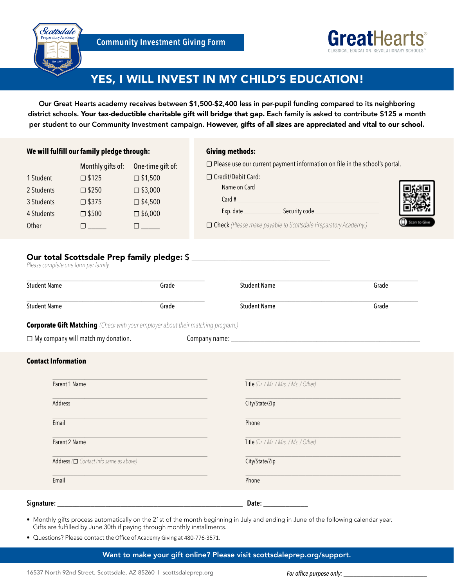



## YES, I WILL INVEST IN MY CHILD'S EDUCATION!

Our Great Hearts academy receives between \$1,500-\$2,400 less in per-pupil funding compared to its neighboring district schools. Your tax-deductible charitable gift will bridge that gap. Each family is asked to contribute \$125 a month per student to our Community Investment campaign. However, gifts of all sizes are appreciated and vital to our school.

#### **We will fulfill our family pledge through:**

### **Giving methods:**

**☐** Please use our current payment information on file in the school's portal.

|            | <b>IVIOIIGIIY GIRJOU.</b> | $\sim$ 0.100 GM and 9.100 MM |
|------------|---------------------------|------------------------------|
| 1 Student  | $\square$ \$125           | $\square$ \$1,500            |
| 2 Students | $\square$ \$250           | $\square$ \$3,000            |
| 3 Students | □ \$375                   | $\square$ \$4,500            |
| 4 Students | $\square$ \$500           | $\square$ \$6,000            |
| Other      |                           |                              |

Monthly gifts of: One-time gift of:

|                      | $\Box$ rease ase our carrent payment mionination on me in the school's portan |            |
|----------------------|-------------------------------------------------------------------------------|------------|
| □ Credit/Debit Card: |                                                                               |            |
| Name on Card         |                                                                               |            |
| Card #               |                                                                               |            |
| Exp. date            | Security code                                                                 |            |
|                      | <b>Check</b> (Please make payable to Scottsdale Preparatory Academy.)         | in to Give |

# Our total Scottsdale Prep family pledge: \$<br>Please complete one form per family.

| <b>Student Name</b>                                                                     | Grade | <b>Student Name</b> | Grade |
|-----------------------------------------------------------------------------------------|-------|---------------------|-------|
| <b>Student Name</b>                                                                     | Grade | <b>Student Name</b> | Grade |
| <b>Corporate Gift Matching</b> (Check with your employer about their matching program.) |       |                     |       |

| $\Box$ My company will match my donation. | Company name: |
|-------------------------------------------|---------------|
|                                           |               |

#### **Contact Information**

| Parent 1 Name                               | Title (Dr. / Mr. / Mrs. / Ms. / Other) |
|---------------------------------------------|----------------------------------------|
| Address                                     | City/State/Zip                         |
| Email                                       | Phone                                  |
| Parent 2 Name                               | Title (Dr. / Mr. / Mrs. / Ms. / Other) |
| Address $(\Box$ Contact info same as above) | City/State/Zip                         |
| Email                                       | Phone                                  |
| Signature:                                  | Date:                                  |

- Monthly gifts process automatically on the 21st of the month beginning in July and ending in June of the following calendar year. Gifts are fulfilled by June 30th if paying through monthly installments.
- Questions? Please contact the Office of Academy Giving at 480-776-3571.

Want to make your gift online? Please visit scottsdaleprep.org/support.